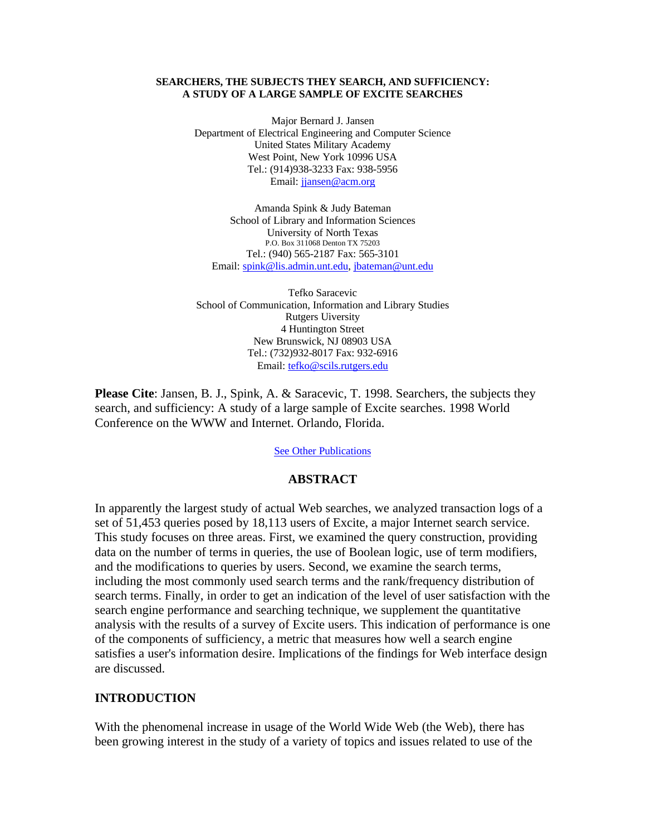### **SEARCHERS, THE SUBJECTS THEY SEARCH, AND SUFFICIENCY: A STUDY OF A LARGE SAMPLE OF EXCITE SEARCHES**

Major Bernard J. Jansen Department of Electrical Engineering and Computer Science United States Military Academy West Point, New York 10996 USA Tel.: (914)938-3233 Fax: 938-5956 Email: jjansen@acm.org

Amanda Spink & Judy Bateman School of Library and Information Sciences University of North Texas P.O. Box 311068 Denton TX 75203 Tel.: (940) 565-2187 Fax: 565-3101 Email: spink@lis.admin.unt.edu, jbateman@unt.edu

Tefko Saracevic School of Communication, Information and Library Studies Rutgers Uiversity 4 Huntington Street New Brunswick, NJ 08903 USA Tel.: (732)932-8017 Fax: 932-6916 Email: tefko@scils.rutgers.edu

**Please Cite**: Jansen, B. J., Spink, A. & Saracevic, T. 1998. Searchers, the subjects they search, and sufficiency: A study of a large sample of Excite searches. 1998 World Conference on the WWW and Internet. Orlando, Florida.

See Other Publications

### **ABSTRACT**

In apparently the largest study of actual Web searches, we analyzed transaction logs of a set of 51,453 queries posed by 18,113 users of Excite, a major Internet search service. This study focuses on three areas. First, we examined the query construction, providing data on the number of terms in queries, the use of Boolean logic, use of term modifiers, and the modifications to queries by users. Second, we examine the search terms, including the most commonly used search terms and the rank/frequency distribution of search terms. Finally, in order to get an indication of the level of user satisfaction with the search engine performance and searching technique, we supplement the quantitative analysis with the results of a survey of Excite users. This indication of performance is one of the components of sufficiency, a metric that measures how well a search engine satisfies a user's information desire. Implications of the findings for Web interface design are discussed.

### **INTRODUCTION**

With the phenomenal increase in usage of the World Wide Web (the Web), there has been growing interest in the study of a variety of topics and issues related to use of the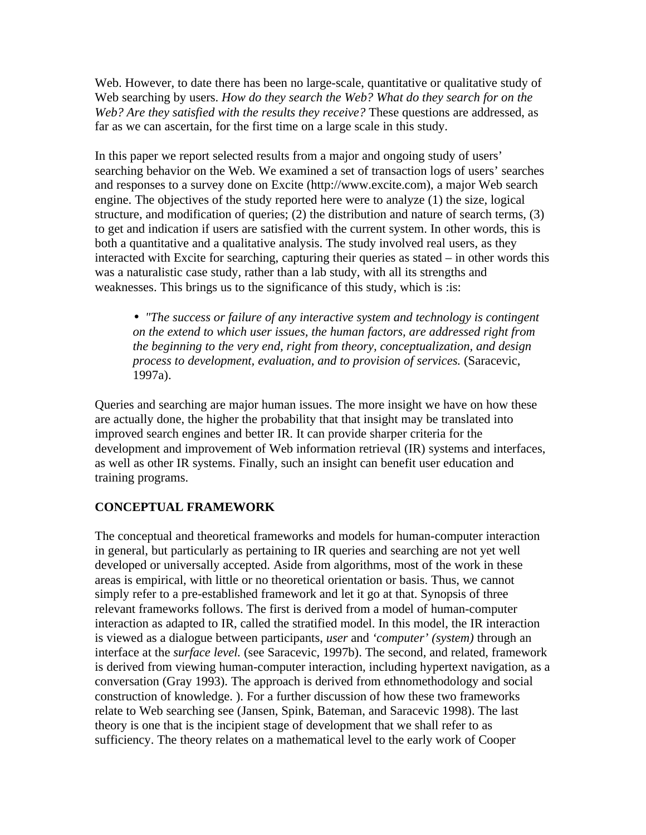Web. However, to date there has been no large-scale, quantitative or qualitative study of Web searching by users. *How do they search the Web? What do they search for on the Web? Are they satisfied with the results they receive?* These questions are addressed, as far as we can ascertain, for the first time on a large scale in this study.

In this paper we report selected results from a major and ongoing study of users' searching behavior on the Web. We examined a set of transaction logs of users' searches and responses to a survey done on Excite (http://www.excite.com), a major Web search engine. The objectives of the study reported here were to analyze (1) the size, logical structure, and modification of queries; (2) the distribution and nature of search terms, (3) to get and indication if users are satisfied with the current system. In other words, this is both a quantitative and a qualitative analysis. The study involved real users, as they interacted with Excite for searching, capturing their queries as stated – in other words this was a naturalistic case study, rather than a lab study, with all its strengths and weaknesses. This brings us to the significance of this study, which is :is:

• *"The success or failure of any interactive system and technology is contingent on the extend to which user issues, the human factors, are addressed right from the beginning to the very end, right from theory, conceptualization, and design process to development, evaluation, and to provision of services.* (Saracevic, 1997a).

Queries and searching are major human issues. The more insight we have on how these are actually done, the higher the probability that that insight may be translated into improved search engines and better IR. It can provide sharper criteria for the development and improvement of Web information retrieval (IR) systems and interfaces, as well as other IR systems. Finally, such an insight can benefit user education and training programs.

## **CONCEPTUAL FRAMEWORK**

The conceptual and theoretical frameworks and models for human-computer interaction in general, but particularly as pertaining to IR queries and searching are not yet well developed or universally accepted. Aside from algorithms, most of the work in these areas is empirical, with little or no theoretical orientation or basis. Thus, we cannot simply refer to a pre-established framework and let it go at that. Synopsis of three relevant frameworks follows. The first is derived from a model of human-computer interaction as adapted to IR, called the stratified model. In this model, the IR interaction is viewed as a dialogue between participants, *user* and *'computer' (system)* through an interface at the *surface level.* (see Saracevic, 1997b). The second, and related, framework is derived from viewing human-computer interaction, including hypertext navigation, as a conversation (Gray 1993). The approach is derived from ethnomethodology and social construction of knowledge. ). For a further discussion of how these two frameworks relate to Web searching see (Jansen, Spink, Bateman, and Saracevic 1998). The last theory is one that is the incipient stage of development that we shall refer to as sufficiency. The theory relates on a mathematical level to the early work of Cooper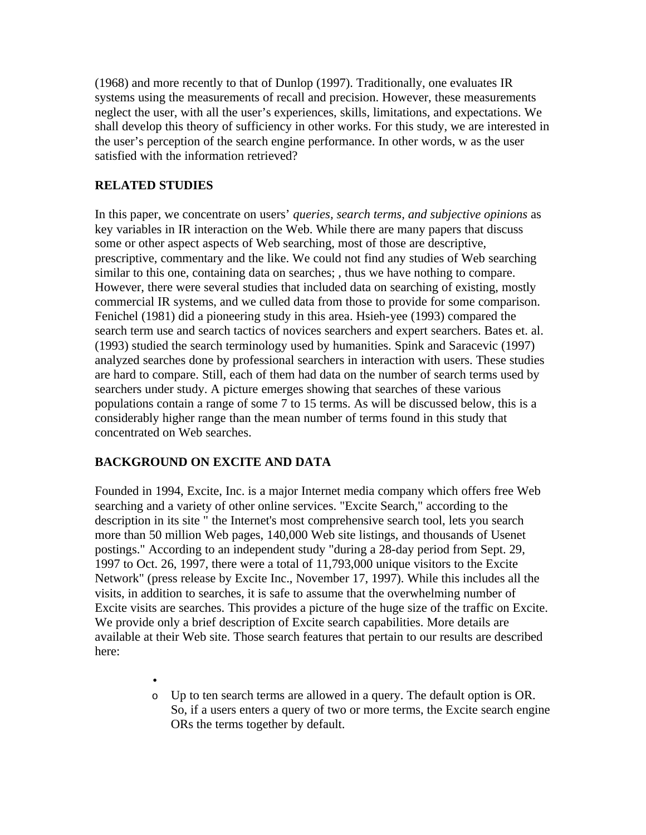(1968) and more recently to that of Dunlop (1997). Traditionally, one evaluates IR systems using the measurements of recall and precision. However, these measurements neglect the user, with all the user's experiences, skills, limitations, and expectations. We shall develop this theory of sufficiency in other works. For this study, we are interested in the user's perception of the search engine performance. In other words, w as the user satisfied with the information retrieved?

# **RELATED STUDIES**

In this paper, we concentrate on users' *queries, search terms, and subjective opinions* as key variables in IR interaction on the Web. While there are many papers that discuss some or other aspect aspects of Web searching, most of those are descriptive, prescriptive, commentary and the like. We could not find any studies of Web searching similar to this one, containing data on searches; , thus we have nothing to compare. However, there were several studies that included data on searching of existing, mostly commercial IR systems, and we culled data from those to provide for some comparison. Fenichel (1981) did a pioneering study in this area. Hsieh-yee (1993) compared the search term use and search tactics of novices searchers and expert searchers. Bates et. al. (1993) studied the search terminology used by humanities. Spink and Saracevic (1997) analyzed searches done by professional searchers in interaction with users. These studies are hard to compare. Still, each of them had data on the number of search terms used by searchers under study. A picture emerges showing that searches of these various populations contain a range of some 7 to 15 terms. As will be discussed below, this is a considerably higher range than the mean number of terms found in this study that concentrated on Web searches.

## **BACKGROUND ON EXCITE AND DATA**

Founded in 1994, Excite, Inc. is a major Internet media company which offers free Web searching and a variety of other online services. "Excite Search," according to the description in its site " the Internet's most comprehensive search tool, lets you search more than 50 million Web pages, 140,000 Web site listings, and thousands of Usenet postings." According to an independent study "during a 28-day period from Sept. 29, 1997 to Oct. 26, 1997, there were a total of 11,793,000 unique visitors to the Excite Network" (press release by Excite Inc., November 17, 1997). While this includes all the visits, in addition to searches, it is safe to assume that the overwhelming number of Excite visits are searches. This provides a picture of the huge size of the traffic on Excite. We provide only a brief description of Excite search capabilities. More details are available at their Web site. Those search features that pertain to our results are described here:

> • o Up to ten search terms are allowed in a query. The default option is OR. So, if a users enters a query of two or more terms, the Excite search engine ORs the terms together by default.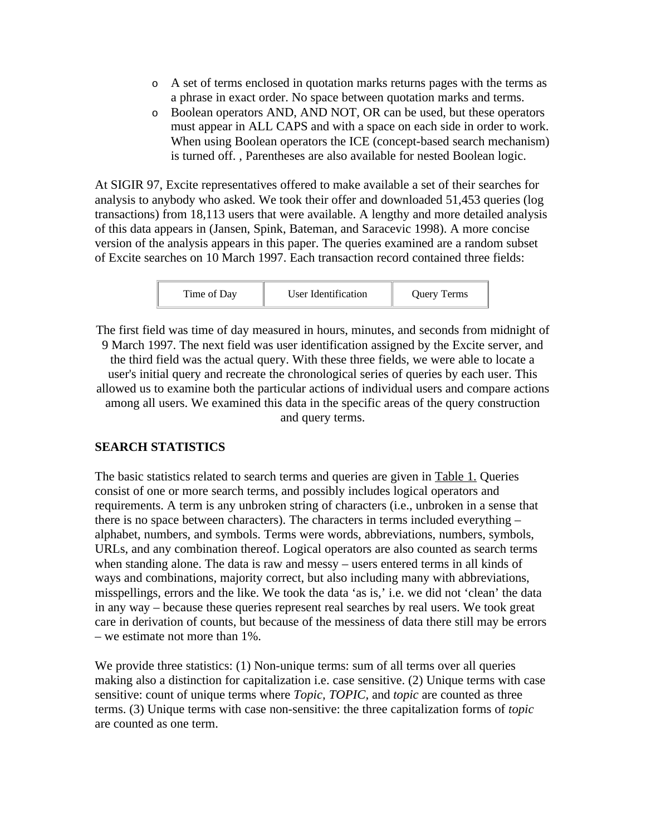- o A set of terms enclosed in quotation marks returns pages with the terms as a phrase in exact order. No space between quotation marks and terms.
- o Boolean operators AND, AND NOT, OR can be used, but these operators must appear in ALL CAPS and with a space on each side in order to work. When using Boolean operators the ICE (concept-based search mechanism) is turned off. , Parentheses are also available for nested Boolean logic.

At SIGIR 97, Excite representatives offered to make available a set of their searches for analysis to anybody who asked. We took their offer and downloaded 51,453 queries (log transactions) from 18,113 users that were available. A lengthy and more detailed analysis of this data appears in (Jansen, Spink, Bateman, and Saracevic 1998). A more concise version of the analysis appears in this paper. The queries examined are a random subset of Excite searches on 10 March 1997. Each transaction record contained three fields:



The first field was time of day measured in hours, minutes, and seconds from midnight of 9 March 1997. The next field was user identification assigned by the Excite server, and the third field was the actual query. With these three fields, we were able to locate a user's initial query and recreate the chronological series of queries by each user. This allowed us to examine both the particular actions of individual users and compare actions among all users. We examined this data in the specific areas of the query construction and query terms.

# **SEARCH STATISTICS**

The basic statistics related to search terms and queries are given in Table 1. Queries consist of one or more search terms, and possibly includes logical operators and requirements. A term is any unbroken string of characters (i.e., unbroken in a sense that there is no space between characters). The characters in terms included everything – alphabet, numbers, and symbols. Terms were words, abbreviations, numbers, symbols, URLs, and any combination thereof. Logical operators are also counted as search terms when standing alone. The data is raw and messy – users entered terms in all kinds of ways and combinations, majority correct, but also including many with abbreviations, misspellings, errors and the like. We took the data 'as is,' i.e. we did not 'clean' the data in any way – because these queries represent real searches by real users. We took great care in derivation of counts, but because of the messiness of data there still may be errors – we estimate not more than 1%.

We provide three statistics: (1) Non-unique terms: sum of all terms over all queries making also a distinction for capitalization i.e. case sensitive. (2) Unique terms with case sensitive: count of unique terms where *Topic, TOPIC,* and *topic* are counted as three terms. (3) Unique terms with case non-sensitive: the three capitalization forms of *topic* are counted as one term.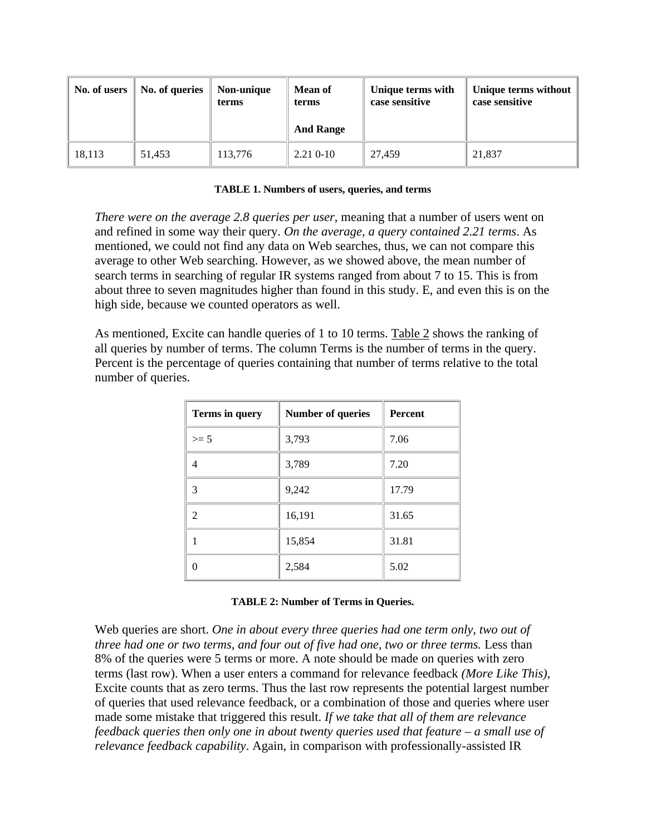| No. of users | No. of queries | Non-unique<br>terms | <b>Mean of</b><br>terms<br><b>And Range</b> | Unique terms with<br>case sensitive | Unique terms without<br>case sensitive |
|--------------|----------------|---------------------|---------------------------------------------|-------------------------------------|----------------------------------------|
| 18,113       | 51.453         | 113,776             | $2.210 - 10$                                | 27.459                              | 21,837                                 |

### **TABLE 1. Numbers of users, queries, and terms**

*There were on the average 2.8 queries per user*, meaning that a number of users went on and refined in some way their query. *On the average, a query contained 2.21 terms*. As mentioned, we could not find any data on Web searches, thus, we can not compare this average to other Web searching. However, as we showed above, the mean number of search terms in searching of regular IR systems ranged from about 7 to 15. This is from about three to seven magnitudes higher than found in this study. E, and even this is on the high side, because we counted operators as well.

As mentioned, Excite can handle queries of 1 to 10 terms. Table 2 shows the ranking of all queries by number of terms. The column Terms is the number of terms in the query. Percent is the percentage of queries containing that number of terms relative to the total number of queries.

| Terms in query | <b>Number of queries</b> | <b>Percent</b> |
|----------------|--------------------------|----------------|
| $>= 5$         | 3,793                    | 7.06           |
| 4              | 3,789                    | 7.20           |
| 3              | 9,242                    | 17.79          |
| $\mathfrak{D}$ | 16,191                   | 31.65          |
|                | 15,854                   | 31.81          |
|                | 2,584                    | 5.02           |

### **TABLE 2: Number of Terms in Queries.**

Web queries are short. *One in about every three queries had one term only, two out of three had one or two terms, and four out of five had one, two or three terms. Less than* 8% of the queries were 5 terms or more. A note should be made on queries with zero terms (last row). When a user enters a command for relevance feedback *(More Like This)*, Excite counts that as zero terms. Thus the last row represents the potential largest number of queries that used relevance feedback, or a combination of those and queries where user made some mistake that triggered this result. *If we take that all of them are relevance feedback queries then only one in about twenty queries used that feature – a small use of relevance feedback capability*. Again, in comparison with professionally-assisted IR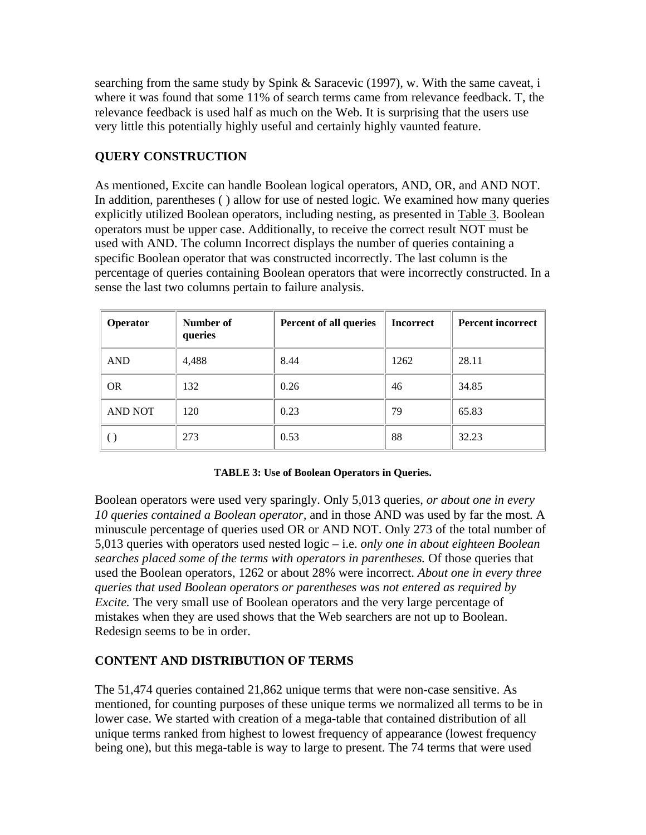searching from the same study by Spink & Saracevic (1997), w. With the same caveat, i where it was found that some 11% of search terms came from relevance feedback. T, the relevance feedback is used half as much on the Web. It is surprising that the users use very little this potentially highly useful and certainly highly vaunted feature.

# **QUERY CONSTRUCTION**

As mentioned, Excite can handle Boolean logical operators, AND, OR, and AND NOT. In addition, parentheses ( ) allow for use of nested logic. We examined how many queries explicitly utilized Boolean operators, including nesting, as presented in Table 3. Boolean operators must be upper case. Additionally, to receive the correct result NOT must be used with AND. The column Incorrect displays the number of queries containing a specific Boolean operator that was constructed incorrectly. The last column is the percentage of queries containing Boolean operators that were incorrectly constructed. In a sense the last two columns pertain to failure analysis.

| <b>Operator</b> | Number of<br>queries | Percent of all queries | <b>Incorrect</b> | <b>Percent incorrect</b> |
|-----------------|----------------------|------------------------|------------------|--------------------------|
| <b>AND</b>      | 4,488                | 8.44                   | 1262             | 28.11                    |
| <b>OR</b>       | 132                  | 0.26                   | 46               | 34.85                    |
| <b>AND NOT</b>  | 120                  | 0.23                   | 79               | 65.83                    |
|                 | 273                  | 0.53                   | 88               | 32.23                    |

## **TABLE 3: Use of Boolean Operators in Queries.**

Boolean operators were used very sparingly. Only 5,013 queries, *or about one in every 10 queries contained a Boolean operator,* and in those AND was used by far the most. A minuscule percentage of queries used OR or AND NOT. Only 273 of the total number of 5,013 queries with operators used nested logic – i.e. *only one in about eighteen Boolean searches placed some of the terms with operators in parentheses.* Of those queries that used the Boolean operators, 1262 or about 28% were incorrect. *About one in every three queries that used Boolean operators or parentheses was not entered as required by Excite.* The very small use of Boolean operators and the very large percentage of mistakes when they are used shows that the Web searchers are not up to Boolean. Redesign seems to be in order.

## **CONTENT AND DISTRIBUTION OF TERMS**

The 51,474 queries contained 21,862 unique terms that were non-case sensitive. As mentioned, for counting purposes of these unique terms we normalized all terms to be in lower case. We started with creation of a mega-table that contained distribution of all unique terms ranked from highest to lowest frequency of appearance (lowest frequency being one), but this mega-table is way to large to present. The 74 terms that were used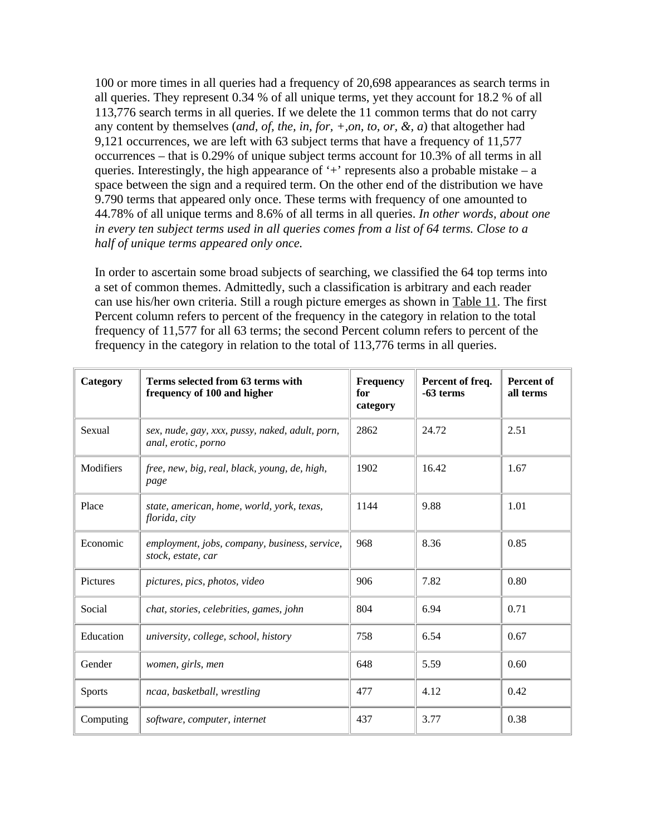100 or more times in all queries had a frequency of 20,698 appearances as search terms in all queries. They represent 0.34 % of all unique terms, yet they account for 18.2 % of all 113,776 search terms in all queries. If we delete the 11 common terms that do not carry any content by themselves (*and, of, the, in, for, +,on, to, or, &, a*) that altogether had 9,121 occurrences, we are left with 63 subject terms that have a frequency of 11,577 occurrences – that is 0.29% of unique subject terms account for 10.3% of all terms in all queries. Interestingly, the high appearance of  $+$  represents also a probable mistake – a space between the sign and a required term. On the other end of the distribution we have 9.790 terms that appeared only once. These terms with frequency of one amounted to 44.78% of all unique terms and 8.6% of all terms in all queries. *In other words, about one in every ten subject terms used in all queries comes from a list of 64 terms. Close to a half of unique terms appeared only once.*

In order to ascertain some broad subjects of searching, we classified the 64 top terms into a set of common themes. Admittedly, such a classification is arbitrary and each reader can use his/her own criteria. Still a rough picture emerges as shown in Table 11. The first Percent column refers to percent of the frequency in the category in relation to the total frequency of 11,577 for all 63 terms; the second Percent column refers to percent of the frequency in the category in relation to the total of 113,776 terms in all queries.

| Category      | Terms selected from 63 terms with<br>frequency of 100 and higher       | Frequency<br>for<br>category | Percent of freq.<br>-63 terms | Percent of<br>all terms |
|---------------|------------------------------------------------------------------------|------------------------------|-------------------------------|-------------------------|
| Sexual        | sex, nude, gay, xxx, pussy, naked, adult, porn,<br>anal, erotic, porno | 2862                         | 24.72                         | 2.51                    |
| Modifiers     | free, new, big, real, black, young, de, high,<br>page                  | 1902                         | 16.42                         | 1.67                    |
| Place         | state, american, home, world, york, texas,<br>florida, city            | 1144                         | 9.88                          | 1.01                    |
| Economic      | employment, jobs, company, business, service,<br>stock, estate, car    | 968                          | 8.36                          | 0.85                    |
| Pictures      | pictures, pics, photos, video                                          | 906                          | 7.82                          | 0.80                    |
| Social        | chat, stories, celebrities, games, john                                | 804                          | 6.94                          | 0.71                    |
| Education     | university, college, school, history                                   | 758                          | 6.54                          | 0.67                    |
| Gender        | women, girls, men                                                      | 648                          | 5.59                          | 0.60                    |
| <b>Sports</b> | ncaa, basketball, wrestling                                            | 477                          | 4.12                          | 0.42                    |
| Computing     | software, computer, internet                                           | 437                          | 3.77                          | 0.38                    |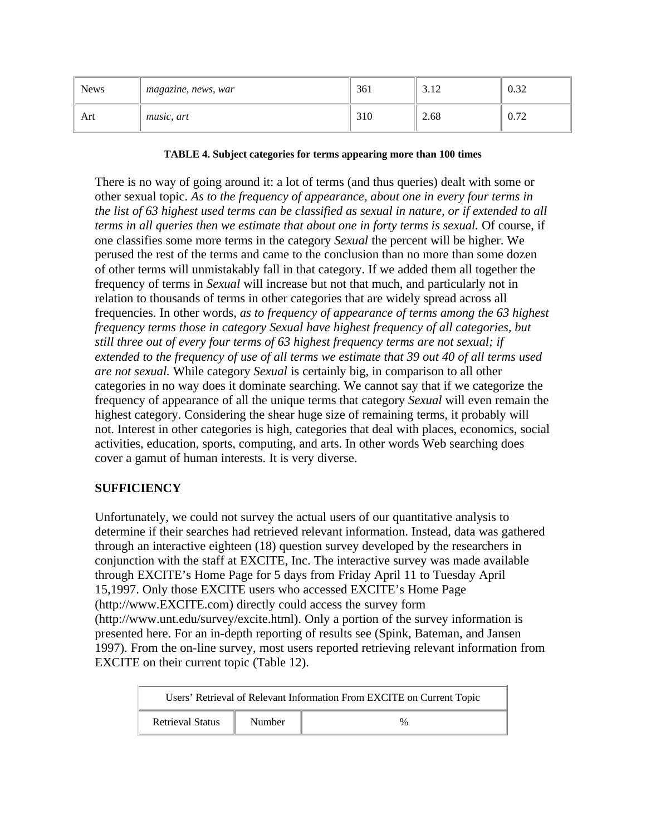| <b>News</b> | magazine, news, war | 361 | 2.12<br>- 12 | $\Omega$<br>0.34 |
|-------------|---------------------|-----|--------------|------------------|
| Art         | <i>music</i> , art  | 310 | 2.68         | 0.72<br>0.12     |

### **TABLE 4. Subject categories for terms appearing more than 100 times**

There is no way of going around it: a lot of terms (and thus queries) dealt with some or other sexual topic. *As to the frequency of appearance, about one in every four terms in the list of 63 highest used terms can be classified as sexual in nature, or if extended to all terms in all queries then we estimate that about one in forty terms is sexual.* Of course, if one classifies some more terms in the category *Sexual* the percent will be higher. We perused the rest of the terms and came to the conclusion than no more than some dozen of other terms will unmistakably fall in that category. If we added them all together the frequency of terms in *Sexual* will increase but not that much, and particularly not in relation to thousands of terms in other categories that are widely spread across all frequencies. In other words, *as to frequency of appearance of terms among the 63 highest frequency terms those in category Sexual have highest frequency of all categories, but still three out of every four terms of 63 highest frequency terms are not sexual; if extended to the frequency of use of all terms we estimate that 39 out 40 of all terms used are not sexual.* While category *Sexual* is certainly big, in comparison to all other categories in no way does it dominate searching. We cannot say that if we categorize the frequency of appearance of all the unique terms that category *Sexual* will even remain the highest category. Considering the shear huge size of remaining terms, it probably will not. Interest in other categories is high, categories that deal with places, economics, social activities, education, sports, computing, and arts. In other words Web searching does cover a gamut of human interests. It is very diverse.

# **SUFFICIENCY**

Unfortunately, we could not survey the actual users of our quantitative analysis to determine if their searches had retrieved relevant information. Instead, data was gathered through an interactive eighteen (18) question survey developed by the researchers in conjunction with the staff at EXCITE, Inc. The interactive survey was made available through EXCITE's Home Page for 5 days from Friday April 11 to Tuesday April 15,1997. Only those EXCITE users who accessed EXCITE's Home Page (http://www.EXCITE.com) directly could access the survey form (http://www.unt.edu/survey/excite.html). Only a portion of the survey information is presented here. For an in-depth reporting of results see (Spink, Bateman, and Jansen 1997). From the on-line survey, most users reported retrieving relevant information from EXCITE on their current topic (Table 12).

| Users' Retrieval of Relevant Information From EXCITE on Current Topic |        |   |  |  |
|-----------------------------------------------------------------------|--------|---|--|--|
| <b>Retrieval Status</b>                                               | Number | % |  |  |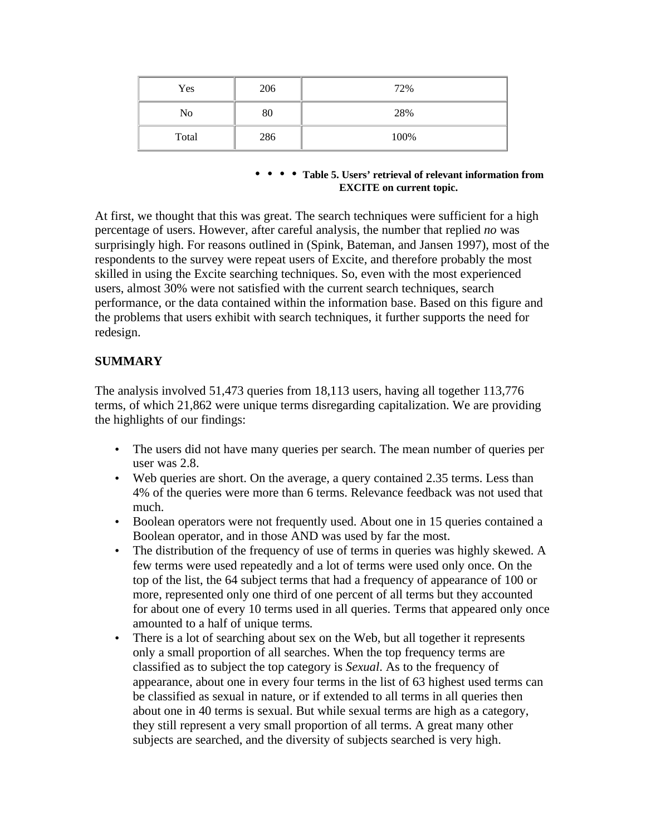| Yes   | 206 | 72%  |
|-------|-----|------|
| No    | 80  | 28%  |
| Total | 286 | 100% |

### • • • • **Table 5. Users' retrieval of relevant information from EXCITE on current topic.**

At first, we thought that this was great. The search techniques were sufficient for a high percentage of users. However, after careful analysis, the number that replied *no* was surprisingly high. For reasons outlined in (Spink, Bateman, and Jansen 1997), most of the respondents to the survey were repeat users of Excite, and therefore probably the most skilled in using the Excite searching techniques. So, even with the most experienced users, almost 30% were not satisfied with the current search techniques, search performance, or the data contained within the information base. Based on this figure and the problems that users exhibit with search techniques, it further supports the need for redesign.

## **SUMMARY**

The analysis involved 51,473 queries from 18,113 users, having all together 113,776 terms, of which 21,862 were unique terms disregarding capitalization. We are providing the highlights of our findings:

- The users did not have many queries per search. The mean number of queries per user was 2.8.
- Web queries are short. On the average, a query contained 2.35 terms. Less than 4% of the queries were more than 6 terms. Relevance feedback was not used that much.
- Boolean operators were not frequently used. About one in 15 queries contained a Boolean operator, and in those AND was used by far the most.
- The distribution of the frequency of use of terms in queries was highly skewed. A few terms were used repeatedly and a lot of terms were used only once. On the top of the list, the 64 subject terms that had a frequency of appearance of 100 or more, represented only one third of one percent of all terms but they accounted for about one of every 10 terms used in all queries. Terms that appeared only once amounted to a half of unique terms*.*
- There is a lot of searching about sex on the Web, but all together it represents only a small proportion of all searches. When the top frequency terms are classified as to subject the top category is *Sexual*. As to the frequency of appearance, about one in every four terms in the list of 63 highest used terms can be classified as sexual in nature, or if extended to all terms in all queries then about one in 40 terms is sexual. But while sexual terms are high as a category, they still represent a very small proportion of all terms. A great many other subjects are searched, and the diversity of subjects searched is very high.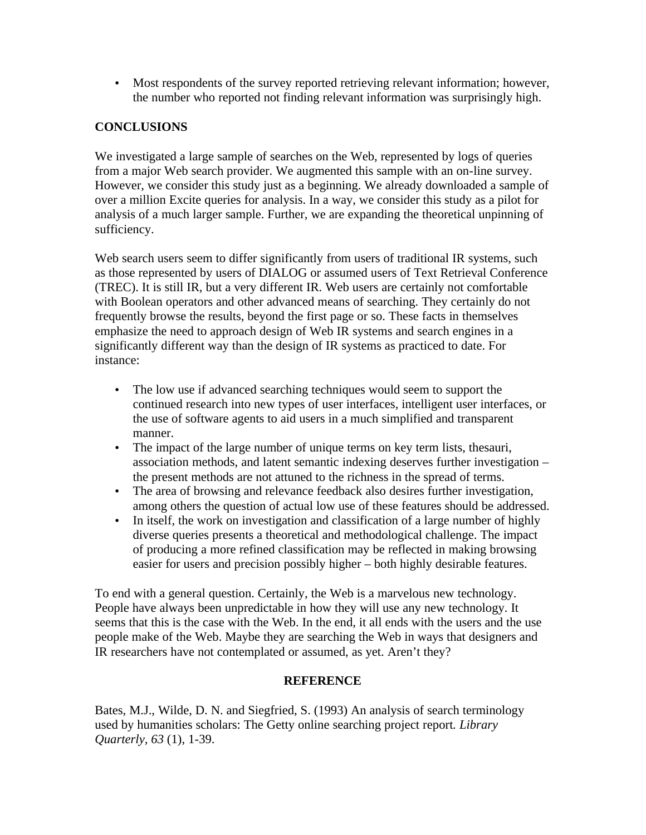• Most respondents of the survey reported retrieving relevant information; however, the number who reported not finding relevant information was surprisingly high.

# **CONCLUSIONS**

We investigated a large sample of searches on the Web, represented by logs of queries from a major Web search provider. We augmented this sample with an on-line survey. However, we consider this study just as a beginning. We already downloaded a sample of over a million Excite queries for analysis. In a way, we consider this study as a pilot for analysis of a much larger sample. Further, we are expanding the theoretical unpinning of sufficiency.

Web search users seem to differ significantly from users of traditional IR systems, such as those represented by users of DIALOG or assumed users of Text Retrieval Conference (TREC). It is still IR, but a very different IR. Web users are certainly not comfortable with Boolean operators and other advanced means of searching. They certainly do not frequently browse the results, beyond the first page or so. These facts in themselves emphasize the need to approach design of Web IR systems and search engines in a significantly different way than the design of IR systems as practiced to date. For instance:

- The low use if advanced searching techniques would seem to support the continued research into new types of user interfaces, intelligent user interfaces, or the use of software agents to aid users in a much simplified and transparent manner.
- The impact of the large number of unique terms on key term lists, thesauri, association methods, and latent semantic indexing deserves further investigation – the present methods are not attuned to the richness in the spread of terms.
- The area of browsing and relevance feedback also desires further investigation, among others the question of actual low use of these features should be addressed.
- In itself, the work on investigation and classification of a large number of highly diverse queries presents a theoretical and methodological challenge. The impact of producing a more refined classification may be reflected in making browsing easier for users and precision possibly higher – both highly desirable features.

To end with a general question. Certainly, the Web is a marvelous new technology. People have always been unpredictable in how they will use any new technology. It seems that this is the case with the Web. In the end, it all ends with the users and the use people make of the Web. Maybe they are searching the Web in ways that designers and IR researchers have not contemplated or assumed, as yet. Aren't they?

## **REFERENCE**

Bates, M.J., Wilde, D. N. and Siegfried, S. (1993) An analysis of search terminology used by humanities scholars: The Getty online searching project report*. Library Quarterly, 63* (1), 1-39.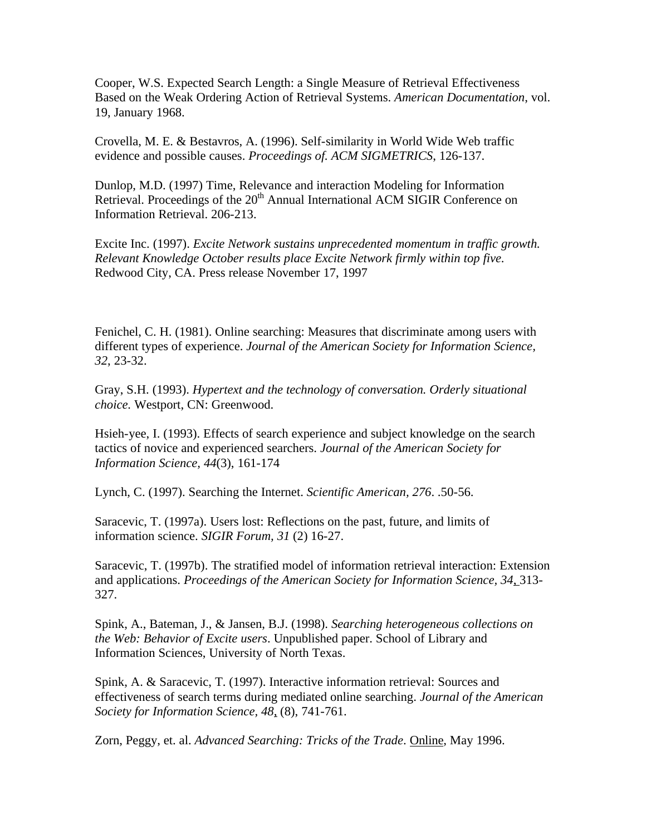Cooper, W.S. Expected Search Length: a Single Measure of Retrieval Effectiveness Based on the Weak Ordering Action of Retrieval Systems. *American Documentation*, vol. 19, January 1968.

Crovella, M. E. & Bestavros, A. (1996). Self-similarity in World Wide Web traffic evidence and possible causes. *Proceedings of. ACM SIGMETRICS*, 126-137.

Dunlop, M.D. (1997) Time, Relevance and interaction Modeling for Information Retrieval. Proceedings of the 20<sup>th</sup> Annual International ACM SIGIR Conference on Information Retrieval. 206-213.

Excite Inc. (1997). *Excite Network sustains unprecedented momentum in traffic growth. Relevant Knowledge October results place Excite Network firmly within top five.* Redwood City, CA. Press release November 17, 1997

Fenichel, C. H. (1981). Online searching: Measures that discriminate among users with different types of experience. *Journal of the American Society for Information Science, 32*, 23-32.

Gray, S.H. (1993). *Hypertext and the technology of conversation. Orderly situational choice.* Westport, CN: Greenwood.

Hsieh-yee, I. (1993). Effects of search experience and subject knowledge on the search tactics of novice and experienced searchers. *Journal of the American Society for Information Science, 44*(3), 161-174

Lynch, C. (1997). Searching the Internet. *Scientific American, 276*. .50-56.

Saracevic, T. (1997a). Users lost: Reflections on the past, future, and limits of information science. *SIGIR Forum, 31* (2) 16-27.

Saracevic, T. (1997b). The stratified model of information retrieval interaction: Extension and applications. *Proceedings of the American Society for Information Science, 34*, 313- 327.

Spink, A., Bateman, J., & Jansen, B.J. (1998). *Searching heterogeneous collections on the Web: Behavior of Excite users*. Unpublished paper. School of Library and Information Sciences, University of North Texas.

Spink, A. & Saracevic, T. (1997). Interactive information retrieval: Sources and effectiveness of search terms during mediated online searching. *Journal of the American Society for Information Science, 48*, (8), 741-761.

Zorn, Peggy, et. al. *Advanced Searching: Tricks of the Trade*. Online, May 1996.